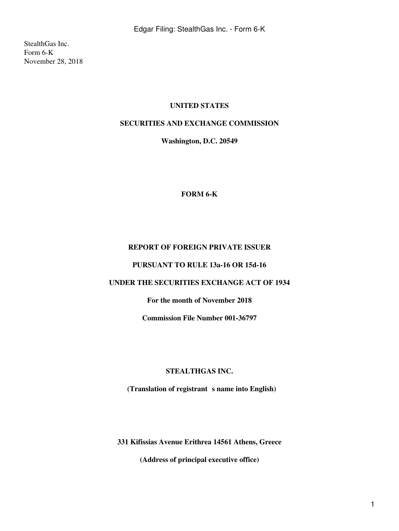StealthGas Inc. Form 6-K November 28, 2018

### **UNITED STATES**

# **SECURITIES AND EXCHANGE COMMISSION**

**Washington, D.C. 20549**

**FORM 6-K**

### **REPORT OF FOREIGN PRIVATE ISSUER**

**PURSUANT TO RULE 13a-16 OR 15d-16**

### **UNDER THE SECURITIES EXCHANGE ACT OF 1934**

**For the month of November 2018**

**Commission File Number 001-36797**

#### **STEALTHGAS INC.**

(Translation of registrant s name into English)

**331 Kifissias Avenue Erithrea 14561 Athens, Greece**

**(Address of principal executive office)**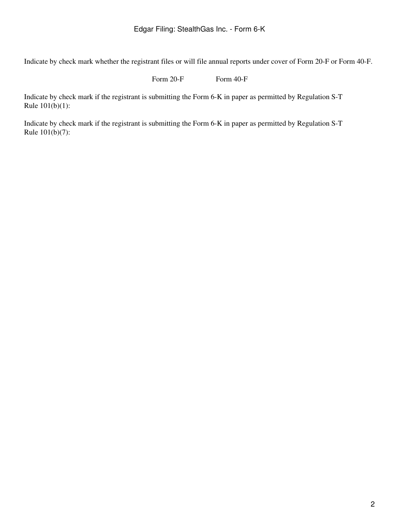Indicate by check mark whether the registrant files or will file annual reports under cover of Form 20-F or Form 40-F.

Form 20-F Form 40-F

Indicate by check mark if the registrant is submitting the Form 6-K in paper as permitted by Regulation S-T Rule  $101(b)(1)$ :

Indicate by check mark if the registrant is submitting the Form 6-K in paper as permitted by Regulation S-T Rule  $101(b)(7)$ :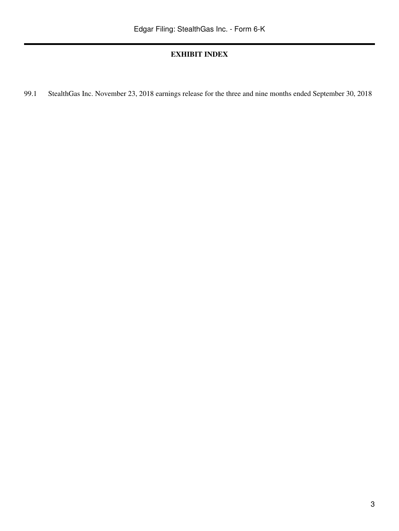# **EXHIBIT INDEX**

99.1 StealthGas Inc. November 23, 2018 earnings release for the three and nine months ended September 30, 2018